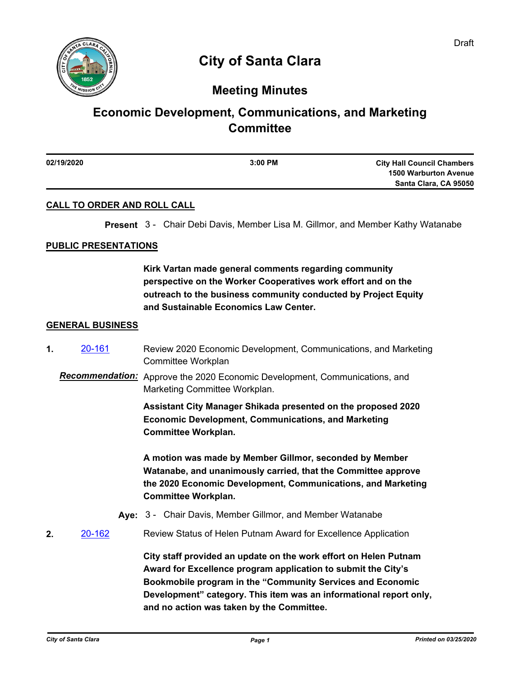

# **City of Santa Clara**

## **Meeting Minutes**

# **Economic Development, Communications, and Marketing Committee**

| 02/19/2020 | $3:00$ PM | <b>City Hall Council Chambers</b> |
|------------|-----------|-----------------------------------|
|            |           | <b>1500 Warburton Avenue</b>      |
|            |           | Santa Clara, CA 95050             |
|            |           |                                   |

### **CALL TO ORDER AND ROLL CALL**

**Present** 3 - Chair Debi Davis, Member Lisa M. Gillmor, and Member Kathy Watanabe

#### **PUBLIC PRESENTATIONS**

**Kirk Vartan made general comments regarding community perspective on the Worker Cooperatives work effort and on the outreach to the business community conducted by Project Equity and Sustainable Economics Law Center.**

#### **GENERAL BUSINESS**

- **1.** [20-161](http://santaclara.legistar.com/gateway.aspx?m=l&id=/matter.aspx?key=16058) Review 2020 Economic Development, Communications, and Marketing Committee Workplan
	- *Recommendation:* Approve the 2020 Economic Development, Communications, and Marketing Committee Workplan.

**Assistant City Manager Shikada presented on the proposed 2020 Economic Development, Communications, and Marketing Committee Workplan.** 

**A motion was made by Member Gillmor, seconded by Member Watanabe, and unanimously carried, that the Committee approve the 2020 Economic Development, Communications, and Marketing Committee Workplan.**

- **Aye:** 3 Chair Davis, Member Gillmor, and Member Watanabe
- **2.** [20-162](http://santaclara.legistar.com/gateway.aspx?m=l&id=/matter.aspx?key=16059) Review Status of Helen Putnam Award for Excellence Application

**City staff provided an update on the work effort on Helen Putnam Award for Excellence program application to submit the City's Bookmobile program in the "Community Services and Economic Development" category. This item was an informational report only, and no action was taken by the Committee.**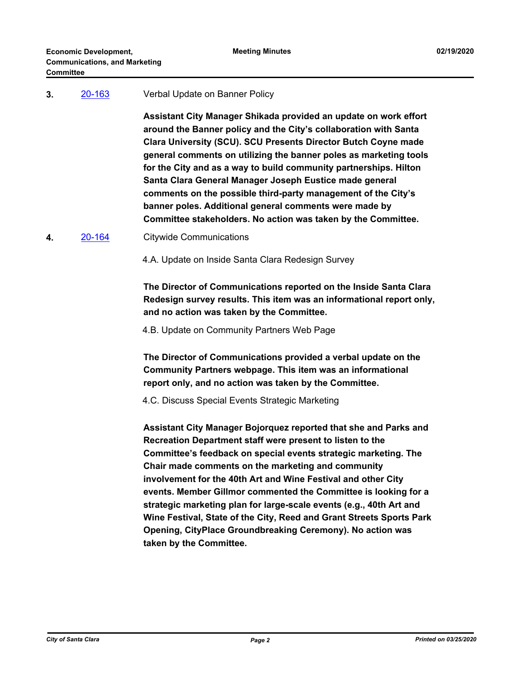#### **3.** [20-163](http://santaclara.legistar.com/gateway.aspx?m=l&id=/matter.aspx?key=16060) Verbal Update on Banner Policy

**Assistant City Manager Shikada provided an update on work effort around the Banner policy and the City's collaboration with Santa Clara University (SCU). SCU Presents Director Butch Coyne made general comments on utilizing the banner poles as marketing tools for the City and as a way to build community partnerships. Hilton Santa Clara General Manager Joseph Eustice made general comments on the possible third-party management of the City's banner poles. Additional general comments were made by Committee stakeholders. No action was taken by the Committee.**

**4.** [20-164](http://santaclara.legistar.com/gateway.aspx?m=l&id=/matter.aspx?key=16061) Citywide Communications

4.A. Update on Inside Santa Clara Redesign Survey

**The Director of Communications reported on the Inside Santa Clara Redesign survey results. This item was an informational report only, and no action was taken by the Committee.**

4.B. Update on Community Partners Web Page

**The Director of Communications provided a verbal update on the Community Partners webpage. This item was an informational report only, and no action was taken by the Committee.**

4.C. Discuss Special Events Strategic Marketing

**Assistant City Manager Bojorquez reported that she and Parks and Recreation Department staff were present to listen to the Committee's feedback on special events strategic marketing. The Chair made comments on the marketing and community involvement for the 40th Art and Wine Festival and other City events. Member Gillmor commented the Committee is looking for a strategic marketing plan for large-scale events (e.g., 40th Art and Wine Festival, State of the City, Reed and Grant Streets Sports Park Opening, CityPlace Groundbreaking Ceremony). No action was taken by the Committee.**